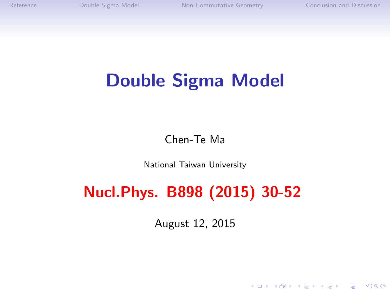# Double Sigma Model

Chen-Te Ma

National Taiwan University

## Nucl.Phys. B898 (2015) 30-52

August 12, 2015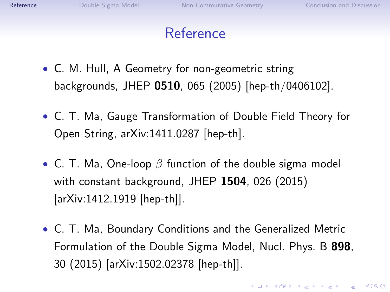**KORK ERKER ADE YOUR** 

### Reference

- <span id="page-1-0"></span>• C. M. Hull, A Geometry for non-geometric string backgrounds, JHEP 0510, 065 (2005) [hep-th/0406102].
- C. T. Ma, Gauge Transformation of Double Field Theory for Open String, arXiv:1411.0287 [hep-th].
- C. T. Ma, One-loop  $\beta$  function of the double sigma model with constant background, JHEP 1504, 026 (2015) [arXiv:1412.1919 [hep-th]].
- C. T. Ma, Boundary Conditions and the Generalized Metric Formulation of the Double Sigma Model, Nucl. Phys. B 898, 30 (2015) [arXiv:1502.02378 [hep-th]].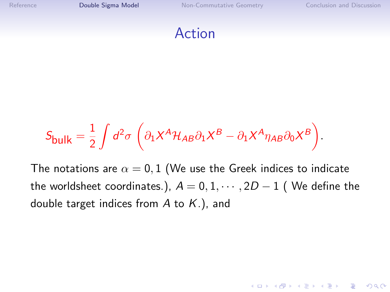<span id="page-2-0"></span>

$$
S_{\text{bulk}} = \frac{1}{2} \int d^2 \sigma \left( \partial_1 X^A \mathcal{H}_{AB} \partial_1 X^B - \partial_1 X^A \eta_{AB} \partial_0 X^B \right).
$$

The notations are  $\alpha = 0, 1$  (We use the Greek indices to indicate the worldsheet coordinates.),  $A = 0, 1, \cdots, 2D - 1$  (We define the double target indices from  $A$  to  $K$ .), and

**KORK ERKER ADE YOUR**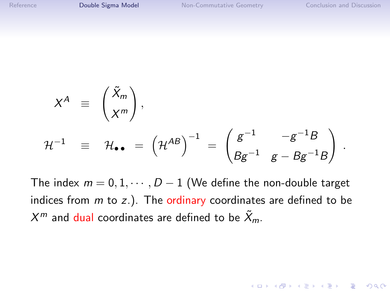$$
X^{A} \equiv \begin{pmatrix} \tilde{X}_{m} \\ X^{m} \end{pmatrix},
$$
  

$$
\mathcal{H}^{-1} \equiv \mathcal{H}_{\bullet \bullet} = (\mathcal{H}^{AB})^{-1} = \begin{pmatrix} g^{-1} & -g^{-1}B \\ Bg^{-1} & g - Bg^{-1}B \end{pmatrix}.
$$

The index  $m = 0, 1, \dots, D - 1$  (We define the non-double target indices from  $m$  to  $z$ .). The ordinary coordinates are defined to be  $X^m$  and dual coordinates are defined to be  $\tilde{X}_m$ .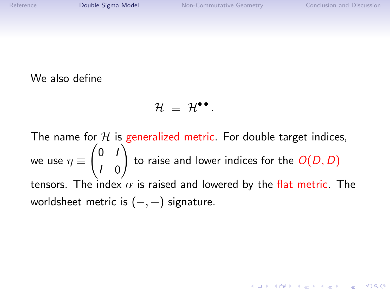**K ロ ▶ K @ ▶ K 할 X X 할 X → 할 X → 9 Q Q ^** 

#### We also define

$$
\mathcal{H} \ \equiv \ \mathcal{H}^{\bullet \bullet} \, .
$$

The name for  $H$  is generalized metric. For double target indices, we use  $\eta \equiv$  $\begin{pmatrix} 0 & I \end{pmatrix}$ I 0  $\setminus$ to raise and lower indices for the  $O(D,D)$ tensors. The index  $\alpha$  is raised and lowered by the flat metric. The worldsheet metric is  $(-, +)$  signature.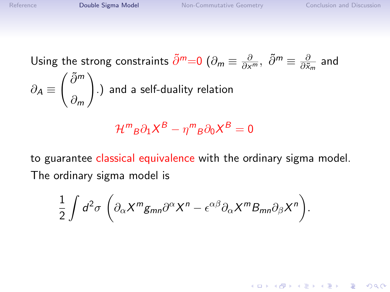Using the strong constraints  $\tilde{\partial}^m{=}0$   $(\partial_m\equiv \frac{\partial}{\partial x^m},\ \tilde{\partial}^m\equiv \frac{\partial}{\partial \tilde{x}^m})$  $\frac{\partial}{\partial \tilde{x}_m}$  and  $\partial_{\mathcal{A}} \equiv$  $\int$  ∂<sup>m</sup> ∂<sup>m</sup>  $\setminus$ .) and a self-duality relation

$$
\mathcal{H}^m{}_B \partial_1 X^B - \eta^m{}_B \partial_0 X^B = 0
$$

to guarantee classical equivalence with the ordinary sigma model. The ordinary sigma model is

$$
\frac{1}{2}\int d^2\sigma\,\left(\partial_{\alpha}X^mg_{mn}\partial^{\alpha}X^n-\epsilon^{\alpha\beta}\partial_{\alpha}X^mB_{mn}\partial_{\beta}X^n\right).
$$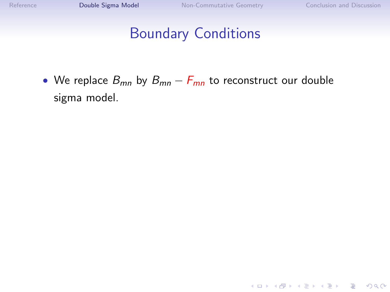#### Boundary Conditions

• We replace  $B_{mn}$  by  $B_{mn} - F_{mn}$  to reconstruct our double sigma model.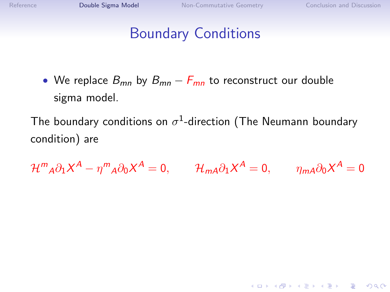### Boundary Conditions

• We replace  $B_{mn}$  by  $B_{mn} - F_{mn}$  to reconstruct our double sigma model.

The boundary conditions on  $\sigma^1$ -direction (The Neumann boundary condition) are

 $\mathcal{H}^m{}_{A}\partial_1 X^A - \eta^m{}_{A}\partial_0 X^A = 0, \qquad \mathcal{H}_{mA}\partial_1 X^A = 0, \qquad \eta_{mA}\partial_0 X^A = 0$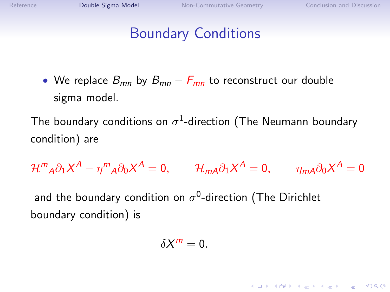**K ロ ▶ K @ ▶ K 할 X X 할 X → 할 X → 9 Q Q ^** 

#### Boundary Conditions

• We replace  $B_{mn}$  by  $B_{mn} - F_{mn}$  to reconstruct our double sigma model.

The boundary conditions on  $\sigma^1$ -direction (The Neumann boundary condition) are

$$
\mathcal{H}^m{}_{A}\partial_1 X^A - \eta^m{}_{A}\partial_0 X^A = 0, \qquad \mathcal{H}_{m}^{}\partial_1 X^A = 0, \qquad \eta_{m}^{}\partial_0 X^A = 0
$$

and the boundary condition on  $\sigma^0$ -direction (The Dirichlet boundary condition) is

$$
\delta X^m=0.
$$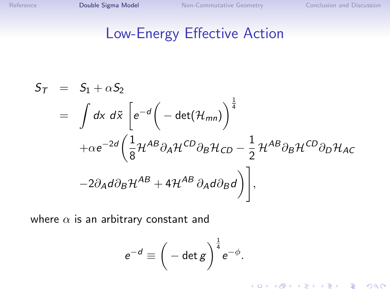K ロ ▶ K @ ▶ K 할 X X 할 X | 할 X 1 9 Q Q ^

#### Low-Energy Effective Action

$$
S_{T} = S_{1} + \alpha S_{2}
$$
\n
$$
= \int dx \ d\tilde{x} \left[ e^{-d} \left( -\det(\mathcal{H}_{mn}) \right)^{\frac{1}{4}} + \alpha e^{-2d} \left( \frac{1}{8} \mathcal{H}^{AB} \partial_{A} \mathcal{H}^{CD} \partial_{B} \mathcal{H}_{CD} - \frac{1}{2} \mathcal{H}^{AB} \partial_{B} \mathcal{H}^{CD} \partial_{D} \mathcal{H}_{AC} - 2 \partial_{A} d \partial_{B} \mathcal{H}^{AB} + 4 \mathcal{H}^{AB} \partial_{A} d \partial_{B} d \right) \right],
$$

where  $\alpha$  is an arbitrary constant and

$$
e^{-d} \equiv \bigg(-\det g\bigg)^{\frac{1}{4}}e^{-\phi}.
$$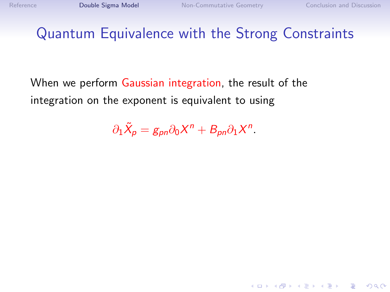#### Quantum Equivalence with the Strong Constraints

When we perform Gaussian integration, the result of the integration on the exponent is equivalent to using

 $\partial_1 \tilde{X}_p = g_{pn} \partial_0 X^n + B_{pn} \partial_1 X^n.$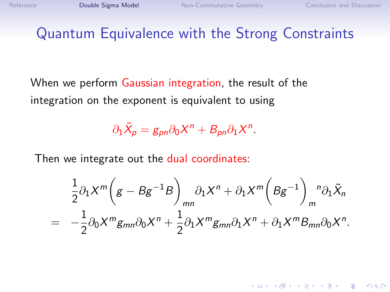4 D > 4 P + 4 B + 4 B + B + 9 Q O

#### Quantum Equivalence with the Strong Constraints

When we perform Gaussian integration, the result of the integration on the exponent is equivalent to using

 $\partial_1 \tilde{X}_p = g_{pn} \partial_0 X^n + B_{pn} \partial_1 X^n.$ 

Then we integrate out the dual coordinates:

$$
\frac{1}{2}\partial_1 X^m \left(g - B g^{-1} B\right)_{mn} \partial_1 X^n + \partial_1 X^m \left(B g^{-1}\right)_m{}^n \partial_1 \tilde{X}_n
$$
\n
$$
= -\frac{1}{2}\partial_0 X^m g_{mn} \partial_0 X^n + \frac{1}{2}\partial_1 X^m g_{mn} \partial_1 X^n + \partial_1 X^m B_{mn} \partial_0 X^n.
$$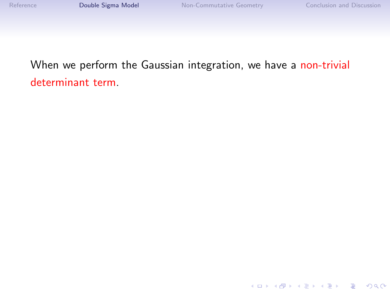K ロ ▶ K @ ▶ K 할 ▶ K 할 ▶ ... 할 ... 900

#### When we perform the Gaussian integration, we have a non-trivial determinant term.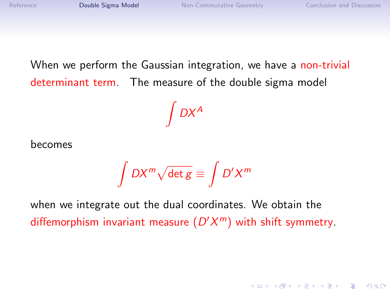When we perform the Gaussian integration, we have a non-trivial determinant term. The measure of the double sigma model

 $\int DX^A$ 

becomes

$$
\int DX^m\sqrt{\det g}\equiv \int D'X^m
$$

when we integrate out the dual coordinates. We obtain the diffemorphism invariant measure  $(D'X^m)$  with shift symmetry.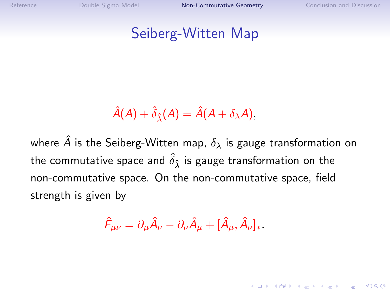**KORK ERKER ADE YOUR** 

#### <span id="page-14-0"></span>Seiberg-Witten Map

$$
\hat{A}(A) + \hat{\delta}_{\hat{\lambda}}(A) = \hat{A}(A + \delta_{\lambda}A),
$$

where  $\hat{A}$  is the Seiberg-Witten map,  $\delta_{\lambda}$  is gauge transformation on the commutative space and  $\hat{\delta}_{\hat{\lambda}}$  is gauge transformation on the non-commutative space. On the non-commutative space, field strength is given by

$$
\hat{\mathsf F}_{\mu\nu} = \partial_\mu \hat{\mathsf A}_\nu - \partial_\nu \hat{\mathsf A}_\mu + [\hat{\mathsf A}_\mu, \hat{\mathsf A}_\nu]_{\ast}.
$$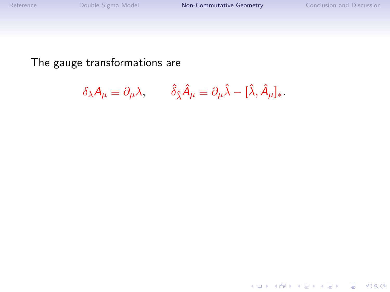K ロ ▶ K @ ▶ K 할 > K 할 > 1 할 > 1 ⊙ Q Q ^

The gauge transformations are

$$
\delta_{\lambda} A_{\mu} \equiv \partial_{\mu} \lambda, \qquad \hat{\delta}_{\hat{\lambda}} \hat{A}_{\mu} \equiv \partial_{\mu} \hat{\lambda} - [\hat{\lambda}, \hat{A}_{\mu}]_{*}.
$$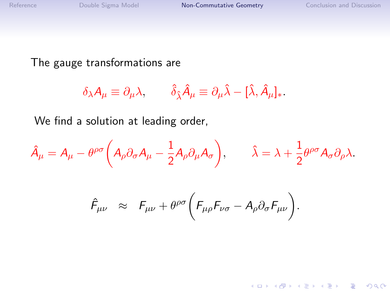K ロ ▶ K @ ▶ K 할 > K 할 > 1 할 > 1 ⊙ Q Q ^

The gauge transformations are

$$
\delta_{\lambda} A_{\mu} \equiv \partial_{\mu} \lambda, \qquad \hat{\delta}_{\hat{\lambda}} \hat{A}_{\mu} \equiv \partial_{\mu} \hat{\lambda} - [\hat{\lambda}, \hat{A}_{\mu}]_{*}.
$$

We find a solution at leading order,

$$
\hat{A}_{\mu} = A_{\mu} - \theta^{\rho\sigma} \left( A_{\rho} \partial_{\sigma} A_{\mu} - \frac{1}{2} A_{\rho} \partial_{\mu} A_{\sigma} \right), \qquad \hat{\lambda} = \lambda + \frac{1}{2} \theta^{\rho\sigma} A_{\sigma} \partial_{\rho} \lambda.
$$

$$
\hat{F}_{\mu\nu} \approx F_{\mu\nu} + \theta^{\rho\sigma} \bigg( F_{\mu\rho} F_{\nu\sigma} - A_{\rho} \partial_{\sigma} F_{\mu\nu} \bigg).
$$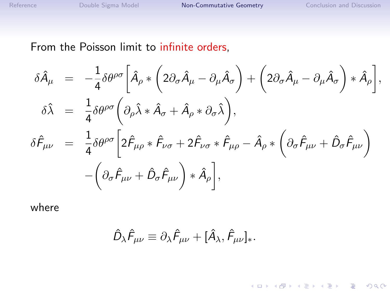K ロ ▶ K @ ▶ K 할 ▶ K 할 ▶ | 할 | © 9 Q @

#### From the Poisson limit to infinite orders,

$$
\delta \hat{A}_{\mu} = -\frac{1}{4} \delta \theta^{\rho \sigma} \left[ \hat{A}_{\rho} * \left( 2 \partial_{\sigma} \hat{A}_{\mu} - \partial_{\mu} \hat{A}_{\sigma} \right) + \left( 2 \partial_{\sigma} \hat{A}_{\mu} - \partial_{\mu} \hat{A}_{\sigma} \right) * \hat{A}_{\rho} \right],
$$
  
\n
$$
\delta \hat{\lambda} = \frac{1}{4} \delta \theta^{\rho \sigma} \left( \partial_{\rho} \hat{\lambda} * \hat{A}_{\sigma} + \hat{A}_{\rho} * \partial_{\sigma} \hat{\lambda} \right),
$$
  
\n
$$
\delta \hat{F}_{\mu\nu} = \frac{1}{4} \delta \theta^{\rho \sigma} \left[ 2 \hat{F}_{\mu\rho} * \hat{F}_{\nu\sigma} + 2 \hat{F}_{\nu\sigma} * \hat{F}_{\mu\rho} - \hat{A}_{\rho} * \left( \partial_{\sigma} \hat{F}_{\mu\nu} + \hat{D}_{\sigma} \hat{F}_{\mu\nu} \right) \right]
$$
  
\n
$$
- \left( \partial_{\sigma} \hat{F}_{\mu\nu} + \hat{D}_{\sigma} \hat{F}_{\mu\nu} \right) * \hat{A}_{\rho} \right],
$$

where

$$
\hat{D}_{\lambda}\hat{F}_{\mu\nu}\equiv\partial_{\lambda}\hat{F}_{\mu\nu}+[\hat{A}_{\lambda},\hat{F}_{\mu\nu}]_{*}.
$$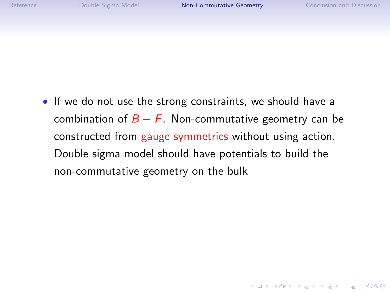**KORKA SERKER ORA** 

• If we do not use the strong constraints, we should have a combination of  $B - F$ . Non-commutative geometry can be constructed from gauge symmetries without using action. Double sigma model should have potentials to build the non-commutative geometry on the bulk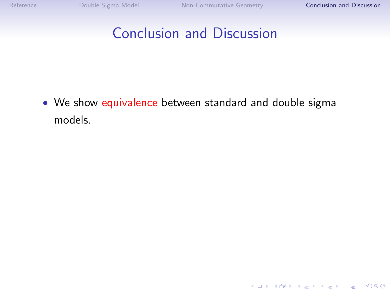K □ ▶ K @ ▶ K 할 X K 할 X ( 할 X ) 9 Q Q ·

### <span id="page-19-0"></span>Conclusion and Discussion

• We show equivalence between standard and double sigma models.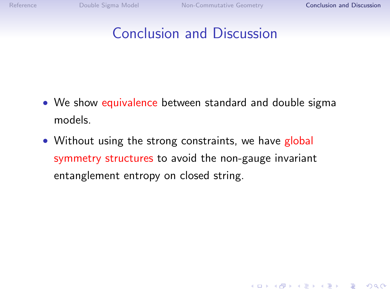**KORKA SERKER ORA** 

### Conclusion and Discussion

- We show equivalence between standard and double sigma models.
- Without using the strong constraints, we have global symmetry structures to avoid the non-gauge invariant entanglement entropy on closed string.